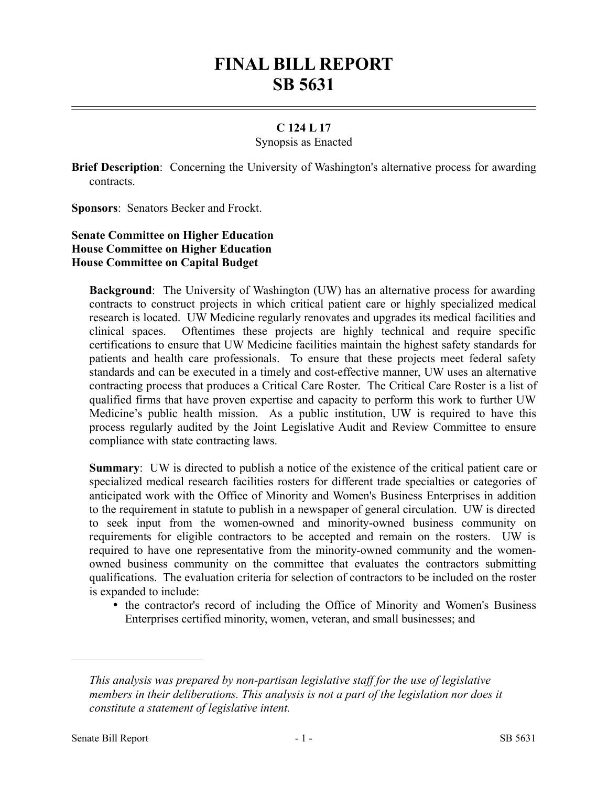# **FINAL BILL REPORT SB 5631**

## **C 124 L 17**

#### Synopsis as Enacted

**Brief Description**: Concerning the University of Washington's alternative process for awarding contracts.

**Sponsors**: Senators Becker and Frockt.

# **Senate Committee on Higher Education House Committee on Higher Education House Committee on Capital Budget**

**Background**: The University of Washington (UW) has an alternative process for awarding contracts to construct projects in which critical patient care or highly specialized medical research is located. UW Medicine regularly renovates and upgrades its medical facilities and clinical spaces. Oftentimes these projects are highly technical and require specific certifications to ensure that UW Medicine facilities maintain the highest safety standards for patients and health care professionals. To ensure that these projects meet federal safety standards and can be executed in a timely and cost-effective manner, UW uses an alternative contracting process that produces a Critical Care Roster. The Critical Care Roster is a list of qualified firms that have proven expertise and capacity to perform this work to further UW Medicine's public health mission. As a public institution, UW is required to have this process regularly audited by the Joint Legislative Audit and Review Committee to ensure compliance with state contracting laws.

**Summary**: UW is directed to publish a notice of the existence of the critical patient care or specialized medical research facilities rosters for different trade specialties or categories of anticipated work with the Office of Minority and Women's Business Enterprises in addition to the requirement in statute to publish in a newspaper of general circulation. UW is directed to seek input from the women-owned and minority-owned business community on requirements for eligible contractors to be accepted and remain on the rosters. UW is required to have one representative from the minority-owned community and the womenowned business community on the committee that evaluates the contractors submitting qualifications. The evaluation criteria for selection of contractors to be included on the roster is expanded to include:

• the contractor's record of including the Office of Minority and Women's Business Enterprises certified minority, women, veteran, and small businesses; and

––––––––––––––––––––––

*This analysis was prepared by non-partisan legislative staff for the use of legislative members in their deliberations. This analysis is not a part of the legislation nor does it constitute a statement of legislative intent.*